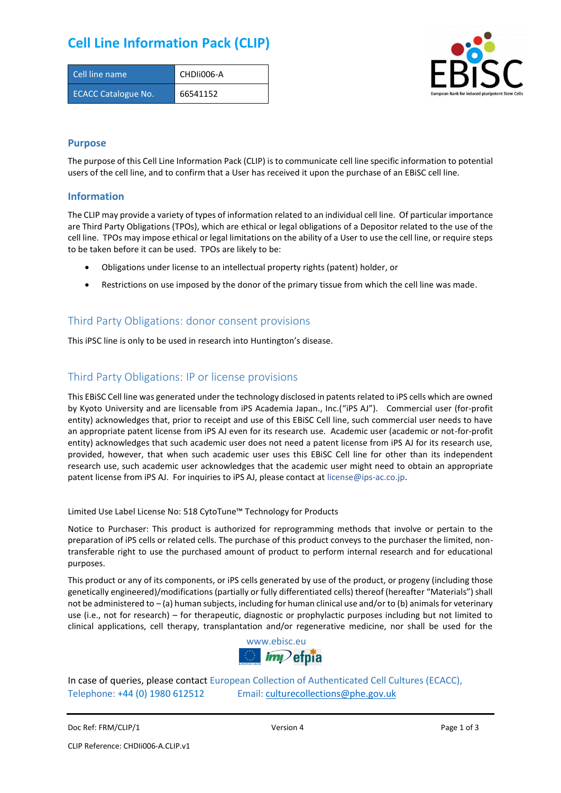## **Cell Line Information Pack (CLIP)**

| Cell line name             | CHDII006-A |
|----------------------------|------------|
| <b>ECACC Catalogue No.</b> | 66541152   |



### **Purpose**

The purpose of this Cell Line Information Pack (CLIP) is to communicate cell line specific information to potential users of the cell line, and to confirm that a User has received it upon the purchase of an EBiSC cell line.

#### **Information**

The CLIP may provide a variety of types of information related to an individual cell line. Of particular importance are Third Party Obligations (TPOs), which are ethical or legal obligations of a Depositor related to the use of the cell line. TPOs may impose ethical or legal limitations on the ability of a User to use the cell line, or require steps to be taken before it can be used. TPOs are likely to be:

- Obligations under license to an intellectual property rights (patent) holder, or
- Restrictions on use imposed by the donor of the primary tissue from which the cell line was made.

### Third Party Obligations: donor consent provisions

This iPSC line is only to be used in research into Huntington's disease.

### Third Party Obligations: IP or license provisions

This EBiSC Cell line was generated under the technology disclosed in patents related to iPS cells which are owned by Kyoto University and are licensable from iPS Academia Japan., Inc.("iPS AJ"). Commercial user (for-profit entity) acknowledges that, prior to receipt and use of this EBiSC Cell line, such commercial user needs to have an appropriate patent license from iPS AJ even for its research use. Academic user (academic or not-for-profit entity) acknowledges that such academic user does not need a patent license from iPS AJ for its research use, provided, however, that when such academic user uses this EBiSC Cell line for other than its independent research use, such academic user acknowledges that the academic user might need to obtain an appropriate patent license from iPS AJ. For inquiries to iPS AJ, please contact at [license@ips-ac.co.jp.](mailto:license@ips-ac.co.jp)

Limited Use Label License No: 518 CytoTune™ Technology for Products

Notice to Purchaser: This product is authorized for reprogramming methods that involve or pertain to the preparation of iPS cells or related cells. The purchase of this product conveys to the purchaser the limited, nontransferable right to use the purchased amount of product to perform internal research and for educational purposes.

This product or any of its components, or iPS cells generated by use of the product, or progeny (including those genetically engineered)/modifications (partially or fully differentiated cells) thereof (hereafter "Materials") shall not be administered to – (a) human subjects, including for human clinical use and/or to (b) animals for veterinary use (i.e., not for research) – for therapeutic, diagnostic or prophylactic purposes including but not limited to clinical applications, cell therapy, transplantation and/or regenerative medicine, nor shall be used for the



In case of queries, please contact European Collection of Authenticated Cell Cultures (ECACC), Telephone: +44 (0) 1980 612512 Email: [culturecollections@phe.gov.uk](mailto:culturecollections@phe.gov.uk)

Doc Ref: FRM/CLIP/1 **Docessition 2** Page 1 of 3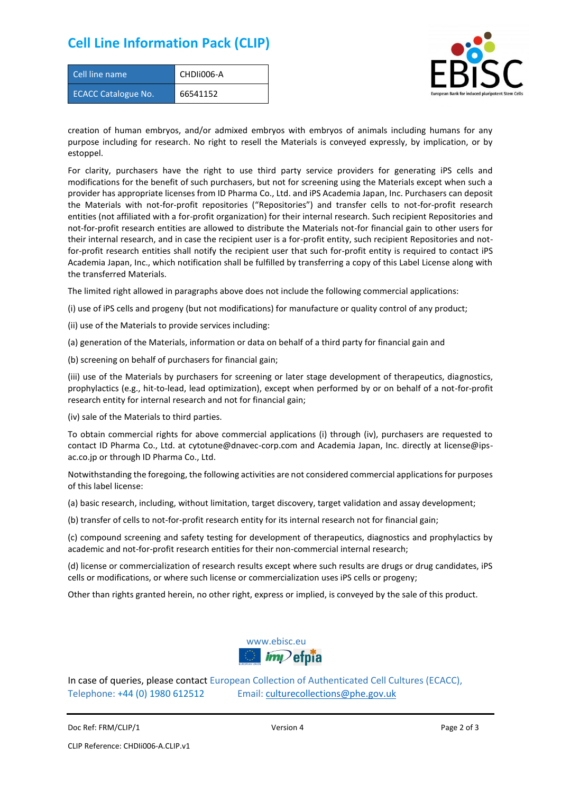### **Cell Line Information Pack (CLIP)**

| Cell line name             | CHDII006-A |
|----------------------------|------------|
| <b>ECACC Catalogue No.</b> | 66541152   |



creation of human embryos, and/or admixed embryos with embryos of animals including humans for any purpose including for research. No right to resell the Materials is conveyed expressly, by implication, or by estoppel.

For clarity, purchasers have the right to use third party service providers for generating iPS cells and modifications for the benefit of such purchasers, but not for screening using the Materials except when such a provider has appropriate licenses from ID Pharma Co., Ltd. and iPS Academia Japan, Inc. Purchasers can deposit the Materials with not-for-profit repositories ("Repositories") and transfer cells to not-for-profit research entities (not affiliated with a for-profit organization) for their internal research. Such recipient Repositories and not-for-profit research entities are allowed to distribute the Materials not-for financial gain to other users for their internal research, and in case the recipient user is a for-profit entity, such recipient Repositories and notfor-profit research entities shall notify the recipient user that such for-profit entity is required to contact iPS Academia Japan, Inc., which notification shall be fulfilled by transferring a copy of this Label License along with the transferred Materials.

The limited right allowed in paragraphs above does not include the following commercial applications:

(i) use of iPS cells and progeny (but not modifications) for manufacture or quality control of any product;

- (ii) use of the Materials to provide services including:
- (a) generation of the Materials, information or data on behalf of a third party for financial gain and

(b) screening on behalf of purchasers for financial gain;

(iii) use of the Materials by purchasers for screening or later stage development of therapeutics, diagnostics, prophylactics (e.g., hit-to-lead, lead optimization), except when performed by or on behalf of a not-for-profit research entity for internal research and not for financial gain;

(iv) sale of the Materials to third parties.

To obtain commercial rights for above commercial applications (i) through (iv), purchasers are requested to contact ID Pharma Co., Ltd. at cytotune@dnavec-corp.com and Academia Japan, Inc. directly at license@ipsac.co.jp or through ID Pharma Co., Ltd.

Notwithstanding the foregoing, the following activities are not considered commercial applications for purposes of this label license:

(a) basic research, including, without limitation, target discovery, target validation and assay development;

(b) transfer of cells to not-for-profit research entity for its internal research not for financial gain;

(c) compound screening and safety testing for development of therapeutics, diagnostics and prophylactics by academic and not-for-profit research entities for their non-commercial internal research;

(d) license or commercialization of research results except where such results are drugs or drug candidates, iPS cells or modifications, or where such license or commercialization uses iPS cells or progeny;

Other than rights granted herein, no other right, express or implied, is conveyed by the sale of this product.



In case of queries, please contact European Collection of Authenticated Cell Cultures (ECACC), Telephone: +44 (0) 1980 612512 Email: [culturecollections@phe.gov.uk](mailto:culturecollections@phe.gov.uk)